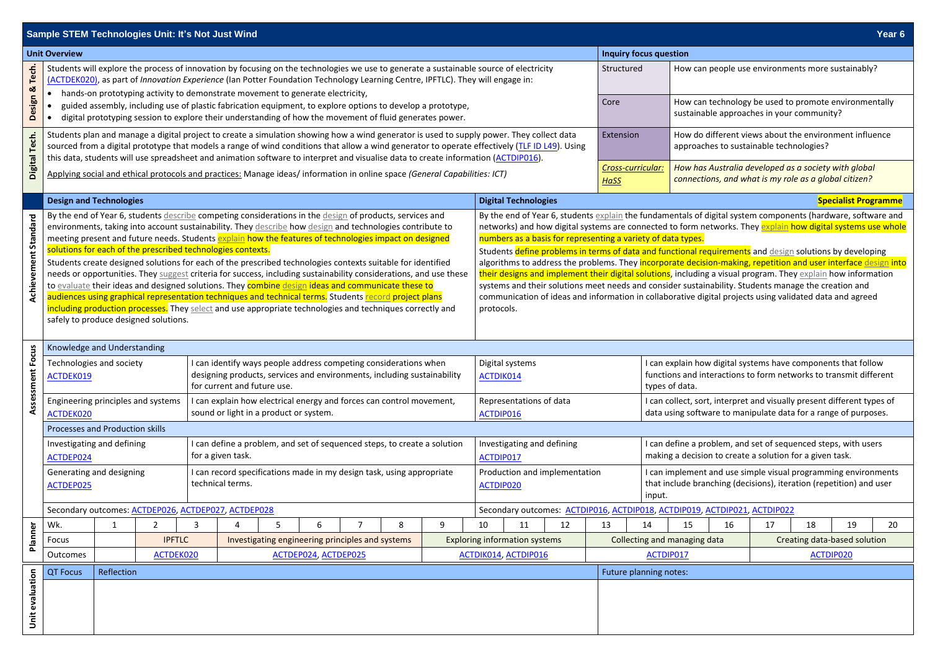|                             |                                                                                                                                                                                                                                                                                                                                                                                                |                                                                                                                                                                                                                                                                                                                                                                                                                                                                                                                                                                                                        |                | <b>Sample STEM Technologies Unit: It's Not Just Wind</b> |   |   |   |                                                                      |                              |                                                                                                                                                                                                                                                                                                                                                                                                          |                                                                                                                                                                                                                                                                                                                                                                                                                                                                    |                              |                                                                                                                                                      |                                                                           |                                                                                                                                                 |                                                                                                    |    |                                                                                                               |    | Year 6                      |
|-----------------------------|------------------------------------------------------------------------------------------------------------------------------------------------------------------------------------------------------------------------------------------------------------------------------------------------------------------------------------------------------------------------------------------------|--------------------------------------------------------------------------------------------------------------------------------------------------------------------------------------------------------------------------------------------------------------------------------------------------------------------------------------------------------------------------------------------------------------------------------------------------------------------------------------------------------------------------------------------------------------------------------------------------------|----------------|----------------------------------------------------------|---|---|---|----------------------------------------------------------------------|------------------------------|----------------------------------------------------------------------------------------------------------------------------------------------------------------------------------------------------------------------------------------------------------------------------------------------------------------------------------------------------------------------------------------------------------|--------------------------------------------------------------------------------------------------------------------------------------------------------------------------------------------------------------------------------------------------------------------------------------------------------------------------------------------------------------------------------------------------------------------------------------------------------------------|------------------------------|------------------------------------------------------------------------------------------------------------------------------------------------------|---------------------------------------------------------------------------|-------------------------------------------------------------------------------------------------------------------------------------------------|----------------------------------------------------------------------------------------------------|----|---------------------------------------------------------------------------------------------------------------|----|-----------------------------|
| <b>Unit Overview</b>        |                                                                                                                                                                                                                                                                                                                                                                                                |                                                                                                                                                                                                                                                                                                                                                                                                                                                                                                                                                                                                        |                |                                                          |   |   |   |                                                                      |                              | <b>Inquiry focus question</b>                                                                                                                                                                                                                                                                                                                                                                            |                                                                                                                                                                                                                                                                                                                                                                                                                                                                    |                              |                                                                                                                                                      |                                                                           |                                                                                                                                                 |                                                                                                    |    |                                                                                                               |    |                             |
| Design & Tech.              | Students will explore the process of innovation by focusing on the technologies we use to generate a sustainable source of electricity<br>(ACTDEK020), as part of Innovation Experience (Ian Potter Foundation Technology Learning Centre, IPFTLC). They will engage in:<br>hands-on prototyping activity to demonstrate movement to generate electricity,                                     |                                                                                                                                                                                                                                                                                                                                                                                                                                                                                                                                                                                                        |                |                                                          |   |   |   |                                                                      |                              |                                                                                                                                                                                                                                                                                                                                                                                                          | Structured                                                                                                                                                                                                                                                                                                                                                                                                                                                         |                              | How can people use environments more sustainably?                                                                                                    |                                                                           |                                                                                                                                                 |                                                                                                    |    |                                                                                                               |    |                             |
|                             |                                                                                                                                                                                                                                                                                                                                                                                                | guided assembly, including use of plastic fabrication equipment, to explore options to develop a prototype,<br>digital prototyping session to explore their understanding of how the movement of fluid generates power.                                                                                                                                                                                                                                                                                                                                                                                |                |                                                          |   |   |   |                                                                      |                              |                                                                                                                                                                                                                                                                                                                                                                                                          |                                                                                                                                                                                                                                                                                                                                                                                                                                                                    |                              | Core                                                                                                                                                 |                                                                           |                                                                                                                                                 | How can technology be used to promote environmentally<br>sustainable approaches in your community? |    |                                                                                                               |    |                             |
| Digital Tech.               |                                                                                                                                                                                                                                                                                                                                                                                                | Students plan and manage a digital project to create a simulation showing how a wind generator is used to supply power. They collect data<br>sourced from a digital prototype that models a range of wind conditions that allow a wind generator to operate effectively (TLF ID L49). Using<br>this data, students will use spreadsheet and animation software to interpret and visualise data to create information (ACTDIP016).                                                                                                                                                                      |                |                                                          |   |   |   |                                                                      |                              |                                                                                                                                                                                                                                                                                                                                                                                                          |                                                                                                                                                                                                                                                                                                                                                                                                                                                                    |                              |                                                                                                                                                      | Extension                                                                 |                                                                                                                                                 | How do different views about the environment influence<br>approaches to sustainable technologies?  |    |                                                                                                               |    |                             |
|                             | Applying social and ethical protocols and practices: Manage ideas/ information in online space (General Capabilities: ICT)                                                                                                                                                                                                                                                                     |                                                                                                                                                                                                                                                                                                                                                                                                                                                                                                                                                                                                        |                |                                                          |   |   |   |                                                                      |                              |                                                                                                                                                                                                                                                                                                                                                                                                          | <b>HaSS</b>                                                                                                                                                                                                                                                                                                                                                                                                                                                        |                              |                                                                                                                                                      | Cross-curricular:                                                         |                                                                                                                                                 |                                                                                                    |    | How has Australia developed as a society with global<br>connections, and what is my role as a global citizen? |    |                             |
|                             | <b>Design and Technologies</b>                                                                                                                                                                                                                                                                                                                                                                 |                                                                                                                                                                                                                                                                                                                                                                                                                                                                                                                                                                                                        |                |                                                          |   |   |   |                                                                      |                              |                                                                                                                                                                                                                                                                                                                                                                                                          | <b>Digital Technologies</b>                                                                                                                                                                                                                                                                                                                                                                                                                                        |                              |                                                                                                                                                      |                                                                           |                                                                                                                                                 |                                                                                                    |    |                                                                                                               |    | <b>Specialist Programme</b> |
| <b>Achievement Standard</b> | By the end of Year 6, students describe competing considerations in the design of products, services and<br>environments, taking into account sustainability. They describe how design and technologies contribute to<br>meeting present and future needs. Students explain how the features of technologies impact on designed<br>solutions for each of the prescribed technologies contexts. |                                                                                                                                                                                                                                                                                                                                                                                                                                                                                                                                                                                                        |                |                                                          |   |   |   |                                                                      |                              | By the end of Year 6, students explain the fundamentals of digital system components (hardware, software and<br>networks) and how digital systems are connected to form networks. They explain how digital systems use whole<br>numbers as a basis for representing a variety of data types.<br>Students define problems in terms of data and functional requirements and design solutions by developing |                                                                                                                                                                                                                                                                                                                                                                                                                                                                    |                              |                                                                                                                                                      |                                                                           |                                                                                                                                                 |                                                                                                    |    |                                                                                                               |    |                             |
|                             |                                                                                                                                                                                                                                                                                                                                                                                                | Students create designed solutions for each of the prescribed technologies contexts suitable for identified<br>needs or opportunities. They suggest criteria for success, including sustainability considerations, and use these<br>to evaluate their ideas and designed solutions. They combine design ideas and communicate these to<br>audiences using graphical representation techniques and technical terms. Students record project plans<br>including production processes. They select and use appropriate technologies and techniques correctly and<br>safely to produce designed solutions. |                |                                                          |   |   |   |                                                                      |                              |                                                                                                                                                                                                                                                                                                                                                                                                          | algorithms to address the problems. They incorporate decision-making, repetition and user interface design into<br>their designs and implement their digital solutions, including a visual program. They explain how information<br>systems and their solutions meet needs and consider sustainability. Students manage the creation and<br>communication of ideas and information in collaborative digital projects using validated data and agreed<br>protocols. |                              |                                                                                                                                                      |                                                                           |                                                                                                                                                 |                                                                                                    |    |                                                                                                               |    |                             |
|                             |                                                                                                                                                                                                                                                                                                                                                                                                | Knowledge and Understanding                                                                                                                                                                                                                                                                                                                                                                                                                                                                                                                                                                            |                |                                                          |   |   |   |                                                                      |                              |                                                                                                                                                                                                                                                                                                                                                                                                          |                                                                                                                                                                                                                                                                                                                                                                                                                                                                    |                              |                                                                                                                                                      |                                                                           |                                                                                                                                                 |                                                                                                    |    |                                                                                                               |    |                             |
| Assessment Focus            | I can identify ways people address competing considerations when<br>Technologies and society<br>designing products, services and environments, including sustainability<br>ACTDEK019<br>for current and future use.                                                                                                                                                                            |                                                                                                                                                                                                                                                                                                                                                                                                                                                                                                                                                                                                        |                |                                                          |   |   |   |                                                                      | Digital systems<br>ACTDIK014 |                                                                                                                                                                                                                                                                                                                                                                                                          |                                                                                                                                                                                                                                                                                                                                                                                                                                                                    |                              | I can explain how digital systems have components that follow<br>functions and interactions to form networks to transmit different<br>types of data. |                                                                           |                                                                                                                                                 |                                                                                                    |    |                                                                                                               |    |                             |
|                             | ACTDEK020                                                                                                                                                                                                                                                                                                                                                                                      | can explain how electrical energy and forces can control movement,<br>Engineering principles and systems<br>sound or light in a product or system.                                                                                                                                                                                                                                                                                                                                                                                                                                                     |                |                                                          |   |   |   |                                                                      |                              |                                                                                                                                                                                                                                                                                                                                                                                                          | Representations of data<br>ACTDIP016                                                                                                                                                                                                                                                                                                                                                                                                                               |                              |                                                                                                                                                      |                                                                           | I can collect, sort, interpret and visually present different types of<br>data using software to manipulate data for a range of purposes.       |                                                                                                    |    |                                                                                                               |    |                             |
|                             | Processes and Production skills                                                                                                                                                                                                                                                                                                                                                                |                                                                                                                                                                                                                                                                                                                                                                                                                                                                                                                                                                                                        |                |                                                          |   |   |   |                                                                      |                              |                                                                                                                                                                                                                                                                                                                                                                                                          |                                                                                                                                                                                                                                                                                                                                                                                                                                                                    |                              |                                                                                                                                                      |                                                                           |                                                                                                                                                 |                                                                                                    |    |                                                                                                               |    |                             |
|                             | ACTDEP024                                                                                                                                                                                                                                                                                                                                                                                      | I can define a problem, and set of sequenced steps, to create a solution<br>Investigating and defining<br>for a given task.                                                                                                                                                                                                                                                                                                                                                                                                                                                                            |                |                                                          |   |   |   |                                                                      |                              |                                                                                                                                                                                                                                                                                                                                                                                                          | Investigating and defining<br>I can define a problem, and set of sequenced steps, with users<br>making a decision to create a solution for a given task.<br>ACTDIP017                                                                                                                                                                                                                                                                                              |                              |                                                                                                                                                      |                                                                           |                                                                                                                                                 |                                                                                                    |    |                                                                                                               |    |                             |
|                             | Generating and designing<br>I can record specifications made in my design task, using appropriate<br>technical terms.<br>ACTDEP025                                                                                                                                                                                                                                                             |                                                                                                                                                                                                                                                                                                                                                                                                                                                                                                                                                                                                        |                |                                                          |   |   |   |                                                                      |                              |                                                                                                                                                                                                                                                                                                                                                                                                          | Production and implementation<br>ACTDIP020                                                                                                                                                                                                                                                                                                                                                                                                                         |                              |                                                                                                                                                      |                                                                           | I can implement and use simple visual programming environments<br>that include branching (decisions), iteration (repetition) and user<br>input. |                                                                                                    |    |                                                                                                               |    |                             |
|                             | Secondary outcomes: ACTDEP026, ACTDEP027, ACTDEP028                                                                                                                                                                                                                                                                                                                                            |                                                                                                                                                                                                                                                                                                                                                                                                                                                                                                                                                                                                        |                |                                                          |   |   |   |                                                                      |                              |                                                                                                                                                                                                                                                                                                                                                                                                          |                                                                                                                                                                                                                                                                                                                                                                                                                                                                    |                              |                                                                                                                                                      | Secondary outcomes: ACTDIP016, ACTDIP018, ACTDIP019, ACTDIP021, ACTDIP022 |                                                                                                                                                 |                                                                                                    |    |                                                                                                               |    |                             |
|                             | Wk.                                                                                                                                                                                                                                                                                                                                                                                            |                                                                                                                                                                                                                                                                                                                                                                                                                                                                                                                                                                                                        | $\overline{2}$ | 3<br>4                                                   | 5 | 6 | 7 | 8                                                                    | 9                            | 10                                                                                                                                                                                                                                                                                                                                                                                                       | 11                                                                                                                                                                                                                                                                                                                                                                                                                                                                 | 12                           | 13                                                                                                                                                   | 14                                                                        | 15                                                                                                                                              | 16                                                                                                 | 17 | 18                                                                                                            | 19 | 20                          |
| Planner                     | Focus                                                                                                                                                                                                                                                                                                                                                                                          | <b>IPFTLC</b><br>Investigating engineering principles and systems                                                                                                                                                                                                                                                                                                                                                                                                                                                                                                                                      |                |                                                          |   |   |   | Collecting and managing data<br><b>Exploring information systems</b> |                              |                                                                                                                                                                                                                                                                                                                                                                                                          |                                                                                                                                                                                                                                                                                                                                                                                                                                                                    | Creating data-based solution |                                                                                                                                                      |                                                                           |                                                                                                                                                 |                                                                                                    |    |                                                                                                               |    |                             |
|                             |                                                                                                                                                                                                                                                                                                                                                                                                | ACTDEP024, ACTDEP025<br>Outcomes<br>ACTDEK020                                                                                                                                                                                                                                                                                                                                                                                                                                                                                                                                                          |                |                                                          |   |   |   | <b>ACTDIK014, ACTDIP016</b><br>ACTDIP017<br><b>ACTDIP020</b>         |                              |                                                                                                                                                                                                                                                                                                                                                                                                          |                                                                                                                                                                                                                                                                                                                                                                                                                                                                    |                              |                                                                                                                                                      |                                                                           |                                                                                                                                                 |                                                                                                    |    |                                                                                                               |    |                             |
|                             | <b>QT Focus</b>                                                                                                                                                                                                                                                                                                                                                                                | Reflection<br>Future planning notes:                                                                                                                                                                                                                                                                                                                                                                                                                                                                                                                                                                   |                |                                                          |   |   |   |                                                                      |                              |                                                                                                                                                                                                                                                                                                                                                                                                          |                                                                                                                                                                                                                                                                                                                                                                                                                                                                    |                              |                                                                                                                                                      |                                                                           |                                                                                                                                                 |                                                                                                    |    |                                                                                                               |    |                             |
| Unit evaluation             |                                                                                                                                                                                                                                                                                                                                                                                                |                                                                                                                                                                                                                                                                                                                                                                                                                                                                                                                                                                                                        |                |                                                          |   |   |   |                                                                      |                              |                                                                                                                                                                                                                                                                                                                                                                                                          |                                                                                                                                                                                                                                                                                                                                                                                                                                                                    |                              |                                                                                                                                                      |                                                                           |                                                                                                                                                 |                                                                                                    |    |                                                                                                               |    |                             |



| <b>ACTDIP021, ACTDIP022</b> |        |                              |           |    |    |  |  |  |  |
|-----------------------------|--------|------------------------------|-----------|----|----|--|--|--|--|
|                             | 16     | 17                           | 18        | 19 | 20 |  |  |  |  |
|                             | g data | Creating data-based solution |           |    |    |  |  |  |  |
|                             |        |                              | ACTDIP020 |    |    |  |  |  |  |
|                             |        |                              |           |    |    |  |  |  |  |
|                             |        |                              |           |    |    |  |  |  |  |